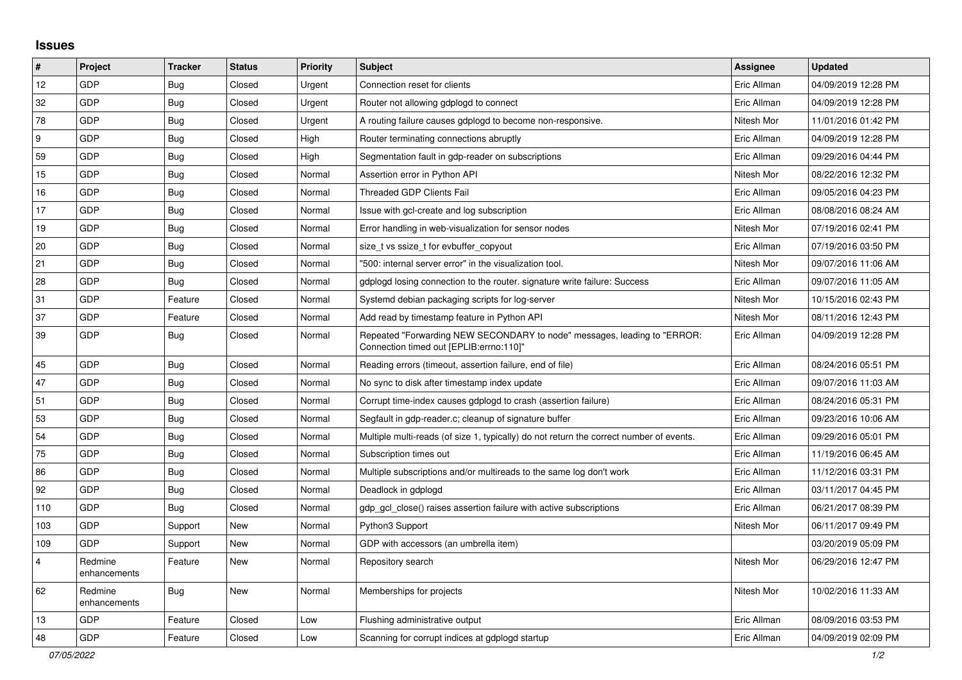## **Issues**

| $\vert$ #      | Project                 | <b>Tracker</b> | <b>Status</b> | Priority | Subject                                                                                                             | <b>Assignee</b> | <b>Updated</b>      |
|----------------|-------------------------|----------------|---------------|----------|---------------------------------------------------------------------------------------------------------------------|-----------------|---------------------|
| 12             | GDP                     | Bug            | Closed        | Urgent   | Connection reset for clients                                                                                        | Eric Allman     | 04/09/2019 12:28 PM |
| 32             | GDP                     | Bug            | Closed        | Urgent   | Router not allowing gdplogd to connect                                                                              | Eric Allman     | 04/09/2019 12:28 PM |
| 78             | GDP                     | Bug            | Closed        | Urgent   | A routing failure causes gdplogd to become non-responsive.                                                          | Nitesh Mor      | 11/01/2016 01:42 PM |
| 9              | GDP                     | <b>Bug</b>     | Closed        | High     | Router terminating connections abruptly                                                                             | Eric Allman     | 04/09/2019 12:28 PM |
| 59             | GDP                     | Bug            | Closed        | High     | Segmentation fault in gdp-reader on subscriptions                                                                   | Eric Allman     | 09/29/2016 04:44 PM |
| 15             | GDP                     | <b>Bug</b>     | Closed        | Normal   | Assertion error in Python API                                                                                       | Nitesh Mor      | 08/22/2016 12:32 PM |
| 16             | GDP                     | Bug            | Closed        | Normal   | <b>Threaded GDP Clients Fail</b>                                                                                    | Eric Allman     | 09/05/2016 04:23 PM |
| 17             | GDP                     | <b>Bug</b>     | Closed        | Normal   | Issue with gcl-create and log subscription                                                                          | Eric Allman     | 08/08/2016 08:24 AM |
| 19             | GDP                     | <b>Bug</b>     | Closed        | Normal   | Error handling in web-visualization for sensor nodes                                                                | Nitesh Mor      | 07/19/2016 02:41 PM |
| 20             | GDP                     | <b>Bug</b>     | Closed        | Normal   | size_t vs ssize_t for evbuffer_copyout                                                                              | Eric Allman     | 07/19/2016 03:50 PM |
| 21             | GDP                     | Bug            | Closed        | Normal   | '500: internal server error" in the visualization tool.                                                             | Nitesh Mor      | 09/07/2016 11:06 AM |
| 28             | GDP                     | Bug            | Closed        | Normal   | gdplogd losing connection to the router. signature write failure: Success                                           | Eric Allman     | 09/07/2016 11:05 AM |
| 31             | GDP                     | Feature        | Closed        | Normal   | Systemd debian packaging scripts for log-server                                                                     | Nitesh Mor      | 10/15/2016 02:43 PM |
| 37             | GDP                     | Feature        | Closed        | Normal   | Add read by timestamp feature in Python API                                                                         | Nitesh Mor      | 08/11/2016 12:43 PM |
| 39             | <b>GDP</b>              | Bug            | Closed        | Normal   | Repeated "Forwarding NEW SECONDARY to node" messages, leading to "ERROR:<br>Connection timed out [EPLIB:errno:110]" | Eric Allman     | 04/09/2019 12:28 PM |
| 45             | GDP                     | Bug            | Closed        | Normal   | Reading errors (timeout, assertion failure, end of file)                                                            | Eric Allman     | 08/24/2016 05:51 PM |
| 47             | <b>GDP</b>              | Bug            | Closed        | Normal   | No sync to disk after timestamp index update                                                                        | Eric Allman     | 09/07/2016 11:03 AM |
| 51             | GDP                     | Bug            | Closed        | Normal   | Corrupt time-index causes gdplogd to crash (assertion failure)                                                      | Eric Allman     | 08/24/2016 05:31 PM |
| 53             | GDP                     | <b>Bug</b>     | Closed        | Normal   | Segfault in gdp-reader.c; cleanup of signature buffer                                                               | Eric Allman     | 09/23/2016 10:06 AM |
| 54             | GDP                     | Bug            | Closed        | Normal   | Multiple multi-reads (of size 1, typically) do not return the correct number of events.                             | Eric Allman     | 09/29/2016 05:01 PM |
| 75             | GDP                     | <b>Bug</b>     | Closed        | Normal   | Subscription times out                                                                                              | Eric Allman     | 11/19/2016 06:45 AM |
| 86             | GDP                     | Bug            | Closed        | Normal   | Multiple subscriptions and/or multireads to the same log don't work                                                 | Eric Allman     | 11/12/2016 03:31 PM |
| 92             | GDP                     | <b>Bug</b>     | Closed        | Normal   | Deadlock in gdplogd                                                                                                 | Eric Allman     | 03/11/2017 04:45 PM |
| 110            | GDP                     | Bug            | Closed        | Normal   | gdp gcl close() raises assertion failure with active subscriptions                                                  | Eric Allman     | 06/21/2017 08:39 PM |
| 103            | GDP                     | Support        | New           | Normal   | Python3 Support                                                                                                     | Nitesh Mor      | 06/11/2017 09:49 PM |
| 109            | GDP                     | Support        | New           | Normal   | GDP with accessors (an umbrella item)                                                                               |                 | 03/20/2019 05:09 PM |
| $\overline{4}$ | Redmine<br>enhancements | Feature        | New           | Normal   | Repository search                                                                                                   | Nitesh Mor      | 06/29/2016 12:47 PM |
| 62             | Redmine<br>enhancements | <b>Bug</b>     | New           | Normal   | Memberships for projects                                                                                            | Nitesh Mor      | 10/02/2016 11:33 AM |
| 13             | GDP                     | Feature        | Closed        | Low      | Flushing administrative output                                                                                      | Eric Allman     | 08/09/2016 03:53 PM |
| 48             | GDP                     | Feature        | Closed        | Low      | Scanning for corrupt indices at gdplogd startup                                                                     | Eric Allman     | 04/09/2019 02:09 PM |